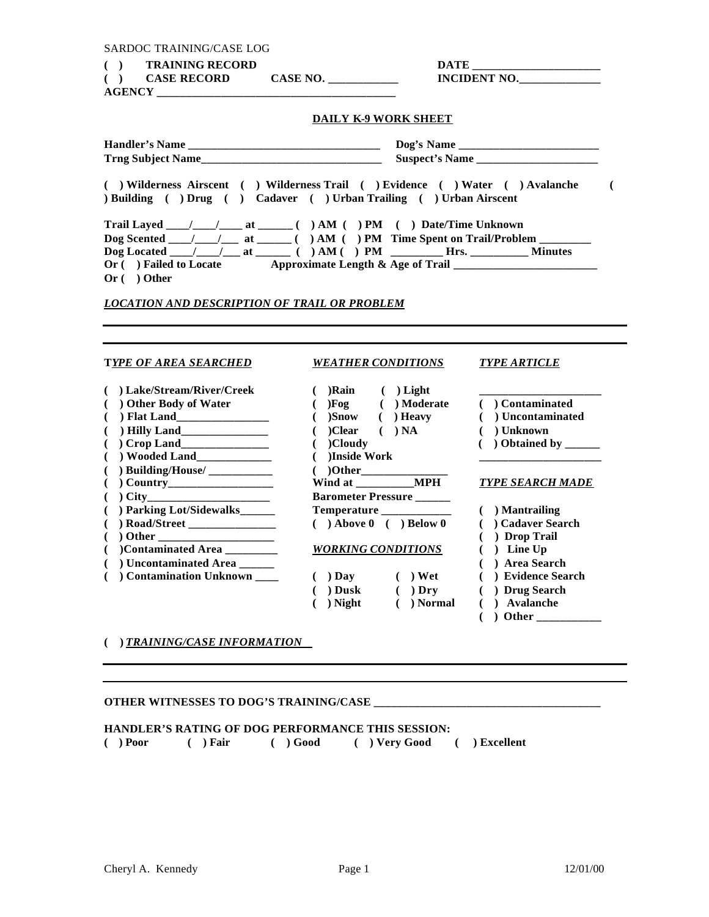| <b>TRAINING RECORD</b><br><b>CASE RECORD</b><br><b>INCIDENT NO.</b><br><b>DAILY K-9 WORK SHEET</b><br>( ) Wilderness Airscent ( ) Wilderness Trail ( ) Evidence ( ) Water ( ) Avalanche<br>) Building ( ) Drug ( ) Cadaver ( ) Urban Trailing ( ) Urban Airscent<br>Dog Scented ____/____/____ at ______() AM () PM Time Spent on Trail/Problem _________<br>Dog Located __/__/__at _____()AM() PM ______Hrs. ________Minutes<br>Or () Failed to Locate Approximate Length & Age of Trail _______________________<br>$Or($ Other<br><b>LOCATION AND DESCRIPTION OF TRAIL OR PROBLEM</b><br>TYPE OF AREA SEARCHED<br><i><b>WEATHER CONDITIONS</b></i><br><b>TYPE ARTICLE</b><br>( ) Lake/Stream/River/Creek<br>$( )$ Rain $( )$ Light<br>()Fog () Moderate<br>( ) Other Body of Water<br>( ) Contaminated<br>$)$ Snow ( ) Heavy<br>$( )$ Flat Land<br>( ) Uncontaminated<br>€<br>$( )$ NA<br>$( )$ Clear<br>$($ ) Unknown<br>$($ )Cloudy<br>)Inside Work<br>€<br>$( )$ Building/House/ $\_\_$<br>$($ )Other<br>Wind at MPH<br><b>TYPE SEARCH MADE</b><br><b>Barometer Pressure</b><br>( ) City<br>() Parking Lot/Sidewalks______<br>Temperature ____________<br>$( )$ Mantrailing<br>( ) Cadaver Search<br>$( )$ Above $0$ ( ) Below $0$<br>( ) Drop Trail<br>( )Contaminated Area<br>$( )$ Line Up<br><b>WORKING CONDITIONS</b><br>( ) Area Search<br>( ) Uncontaminated Area<br>Contamination Unknown<br>$( )$ Day $( )$ Wet<br>( ) Evidence Search<br>$( )$ Dusk $( )$ Dry<br>( ) Drug Search<br>) Night ( ) Normal<br>( ) Avalanche<br>€ | SARDOC TRAINING/CASE LOG |  |   |
|---------------------------------------------------------------------------------------------------------------------------------------------------------------------------------------------------------------------------------------------------------------------------------------------------------------------------------------------------------------------------------------------------------------------------------------------------------------------------------------------------------------------------------------------------------------------------------------------------------------------------------------------------------------------------------------------------------------------------------------------------------------------------------------------------------------------------------------------------------------------------------------------------------------------------------------------------------------------------------------------------------------------------------------------------------------------------------------------------------------------------------------------------------------------------------------------------------------------------------------------------------------------------------------------------------------------------------------------------------------------------------------------------------------------------------------------------------------------------------------------------------------------------------------------|--------------------------|--|---|
|                                                                                                                                                                                                                                                                                                                                                                                                                                                                                                                                                                                                                                                                                                                                                                                                                                                                                                                                                                                                                                                                                                                                                                                                                                                                                                                                                                                                                                                                                                                                             | ( )                      |  |   |
|                                                                                                                                                                                                                                                                                                                                                                                                                                                                                                                                                                                                                                                                                                                                                                                                                                                                                                                                                                                                                                                                                                                                                                                                                                                                                                                                                                                                                                                                                                                                             | ( )                      |  |   |
|                                                                                                                                                                                                                                                                                                                                                                                                                                                                                                                                                                                                                                                                                                                                                                                                                                                                                                                                                                                                                                                                                                                                                                                                                                                                                                                                                                                                                                                                                                                                             |                          |  |   |
|                                                                                                                                                                                                                                                                                                                                                                                                                                                                                                                                                                                                                                                                                                                                                                                                                                                                                                                                                                                                                                                                                                                                                                                                                                                                                                                                                                                                                                                                                                                                             |                          |  |   |
|                                                                                                                                                                                                                                                                                                                                                                                                                                                                                                                                                                                                                                                                                                                                                                                                                                                                                                                                                                                                                                                                                                                                                                                                                                                                                                                                                                                                                                                                                                                                             |                          |  |   |
|                                                                                                                                                                                                                                                                                                                                                                                                                                                                                                                                                                                                                                                                                                                                                                                                                                                                                                                                                                                                                                                                                                                                                                                                                                                                                                                                                                                                                                                                                                                                             |                          |  |   |
|                                                                                                                                                                                                                                                                                                                                                                                                                                                                                                                                                                                                                                                                                                                                                                                                                                                                                                                                                                                                                                                                                                                                                                                                                                                                                                                                                                                                                                                                                                                                             |                          |  | € |
|                                                                                                                                                                                                                                                                                                                                                                                                                                                                                                                                                                                                                                                                                                                                                                                                                                                                                                                                                                                                                                                                                                                                                                                                                                                                                                                                                                                                                                                                                                                                             |                          |  |   |
|                                                                                                                                                                                                                                                                                                                                                                                                                                                                                                                                                                                                                                                                                                                                                                                                                                                                                                                                                                                                                                                                                                                                                                                                                                                                                                                                                                                                                                                                                                                                             |                          |  |   |
|                                                                                                                                                                                                                                                                                                                                                                                                                                                                                                                                                                                                                                                                                                                                                                                                                                                                                                                                                                                                                                                                                                                                                                                                                                                                                                                                                                                                                                                                                                                                             |                          |  |   |
|                                                                                                                                                                                                                                                                                                                                                                                                                                                                                                                                                                                                                                                                                                                                                                                                                                                                                                                                                                                                                                                                                                                                                                                                                                                                                                                                                                                                                                                                                                                                             |                          |  |   |
|                                                                                                                                                                                                                                                                                                                                                                                                                                                                                                                                                                                                                                                                                                                                                                                                                                                                                                                                                                                                                                                                                                                                                                                                                                                                                                                                                                                                                                                                                                                                             |                          |  |   |
|                                                                                                                                                                                                                                                                                                                                                                                                                                                                                                                                                                                                                                                                                                                                                                                                                                                                                                                                                                                                                                                                                                                                                                                                                                                                                                                                                                                                                                                                                                                                             |                          |  |   |
|                                                                                                                                                                                                                                                                                                                                                                                                                                                                                                                                                                                                                                                                                                                                                                                                                                                                                                                                                                                                                                                                                                                                                                                                                                                                                                                                                                                                                                                                                                                                             |                          |  |   |
|                                                                                                                                                                                                                                                                                                                                                                                                                                                                                                                                                                                                                                                                                                                                                                                                                                                                                                                                                                                                                                                                                                                                                                                                                                                                                                                                                                                                                                                                                                                                             |                          |  |   |
|                                                                                                                                                                                                                                                                                                                                                                                                                                                                                                                                                                                                                                                                                                                                                                                                                                                                                                                                                                                                                                                                                                                                                                                                                                                                                                                                                                                                                                                                                                                                             |                          |  |   |
|                                                                                                                                                                                                                                                                                                                                                                                                                                                                                                                                                                                                                                                                                                                                                                                                                                                                                                                                                                                                                                                                                                                                                                                                                                                                                                                                                                                                                                                                                                                                             |                          |  |   |
|                                                                                                                                                                                                                                                                                                                                                                                                                                                                                                                                                                                                                                                                                                                                                                                                                                                                                                                                                                                                                                                                                                                                                                                                                                                                                                                                                                                                                                                                                                                                             |                          |  |   |
|                                                                                                                                                                                                                                                                                                                                                                                                                                                                                                                                                                                                                                                                                                                                                                                                                                                                                                                                                                                                                                                                                                                                                                                                                                                                                                                                                                                                                                                                                                                                             |                          |  |   |
|                                                                                                                                                                                                                                                                                                                                                                                                                                                                                                                                                                                                                                                                                                                                                                                                                                                                                                                                                                                                                                                                                                                                                                                                                                                                                                                                                                                                                                                                                                                                             |                          |  |   |
|                                                                                                                                                                                                                                                                                                                                                                                                                                                                                                                                                                                                                                                                                                                                                                                                                                                                                                                                                                                                                                                                                                                                                                                                                                                                                                                                                                                                                                                                                                                                             |                          |  |   |
|                                                                                                                                                                                                                                                                                                                                                                                                                                                                                                                                                                                                                                                                                                                                                                                                                                                                                                                                                                                                                                                                                                                                                                                                                                                                                                                                                                                                                                                                                                                                             |                          |  |   |
|                                                                                                                                                                                                                                                                                                                                                                                                                                                                                                                                                                                                                                                                                                                                                                                                                                                                                                                                                                                                                                                                                                                                                                                                                                                                                                                                                                                                                                                                                                                                             |                          |  |   |
|                                                                                                                                                                                                                                                                                                                                                                                                                                                                                                                                                                                                                                                                                                                                                                                                                                                                                                                                                                                                                                                                                                                                                                                                                                                                                                                                                                                                                                                                                                                                             |                          |  |   |
|                                                                                                                                                                                                                                                                                                                                                                                                                                                                                                                                                                                                                                                                                                                                                                                                                                                                                                                                                                                                                                                                                                                                                                                                                                                                                                                                                                                                                                                                                                                                             |                          |  |   |
|                                                                                                                                                                                                                                                                                                                                                                                                                                                                                                                                                                                                                                                                                                                                                                                                                                                                                                                                                                                                                                                                                                                                                                                                                                                                                                                                                                                                                                                                                                                                             |                          |  |   |
|                                                                                                                                                                                                                                                                                                                                                                                                                                                                                                                                                                                                                                                                                                                                                                                                                                                                                                                                                                                                                                                                                                                                                                                                                                                                                                                                                                                                                                                                                                                                             |                          |  |   |
|                                                                                                                                                                                                                                                                                                                                                                                                                                                                                                                                                                                                                                                                                                                                                                                                                                                                                                                                                                                                                                                                                                                                                                                                                                                                                                                                                                                                                                                                                                                                             |                          |  |   |
|                                                                                                                                                                                                                                                                                                                                                                                                                                                                                                                                                                                                                                                                                                                                                                                                                                                                                                                                                                                                                                                                                                                                                                                                                                                                                                                                                                                                                                                                                                                                             |                          |  |   |
|                                                                                                                                                                                                                                                                                                                                                                                                                                                                                                                                                                                                                                                                                                                                                                                                                                                                                                                                                                                                                                                                                                                                                                                                                                                                                                                                                                                                                                                                                                                                             |                          |  |   |
|                                                                                                                                                                                                                                                                                                                                                                                                                                                                                                                                                                                                                                                                                                                                                                                                                                                                                                                                                                                                                                                                                                                                                                                                                                                                                                                                                                                                                                                                                                                                             |                          |  |   |
|                                                                                                                                                                                                                                                                                                                                                                                                                                                                                                                                                                                                                                                                                                                                                                                                                                                                                                                                                                                                                                                                                                                                                                                                                                                                                                                                                                                                                                                                                                                                             |                          |  |   |
|                                                                                                                                                                                                                                                                                                                                                                                                                                                                                                                                                                                                                                                                                                                                                                                                                                                                                                                                                                                                                                                                                                                                                                                                                                                                                                                                                                                                                                                                                                                                             |                          |  |   |
|                                                                                                                                                                                                                                                                                                                                                                                                                                                                                                                                                                                                                                                                                                                                                                                                                                                                                                                                                                                                                                                                                                                                                                                                                                                                                                                                                                                                                                                                                                                                             | €.                       |  |   |
|                                                                                                                                                                                                                                                                                                                                                                                                                                                                                                                                                                                                                                                                                                                                                                                                                                                                                                                                                                                                                                                                                                                                                                                                                                                                                                                                                                                                                                                                                                                                             |                          |  |   |
|                                                                                                                                                                                                                                                                                                                                                                                                                                                                                                                                                                                                                                                                                                                                                                                                                                                                                                                                                                                                                                                                                                                                                                                                                                                                                                                                                                                                                                                                                                                                             |                          |  |   |
|                                                                                                                                                                                                                                                                                                                                                                                                                                                                                                                                                                                                                                                                                                                                                                                                                                                                                                                                                                                                                                                                                                                                                                                                                                                                                                                                                                                                                                                                                                                                             |                          |  |   |

## **( )** *TRAINING/CASE INFORMATION*

## **OTHER WITNESSES TO DOG'S TRAINING/CASE \_\_\_\_\_\_\_\_\_\_\_\_\_\_\_\_\_\_\_\_\_\_\_\_\_\_\_\_\_\_\_\_\_\_\_\_\_\_\_**

|            |        |            | <b>HANDLER'S RATING OF DOG PERFORMANCE THIS SESSION:</b> |             |
|------------|--------|------------|----------------------------------------------------------|-------------|
| $($ ) Poor | ) Fair | $( )$ Good | $( )$ Very Good                                          | ) Excellent |